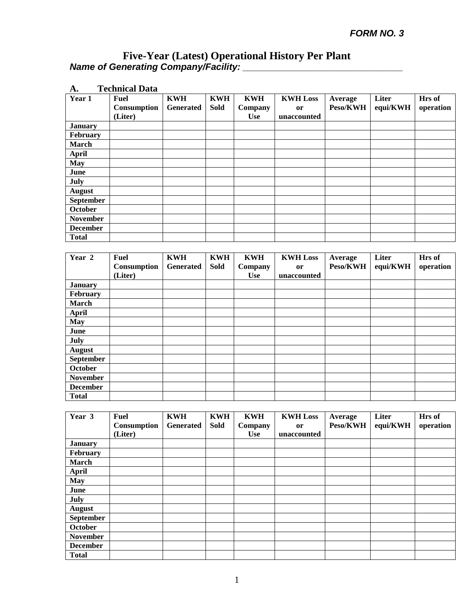| A.               | <b>Technical Data</b> |            |             |            |                 |          |          |           |
|------------------|-----------------------|------------|-------------|------------|-----------------|----------|----------|-----------|
| Year 1           | <b>Fuel</b>           | <b>KWH</b> | <b>KWH</b>  | <b>KWH</b> | <b>KWH Loss</b> | Average  | Liter    | Hrs of    |
|                  | Consumption           | Generated  | <b>Sold</b> | Company    | <b>or</b>       | Peso/KWH | equi/KWH | operation |
|                  | (Liter)               |            |             | <b>Use</b> | unaccounted     |          |          |           |
| <b>January</b>   |                       |            |             |            |                 |          |          |           |
| February         |                       |            |             |            |                 |          |          |           |
| <b>March</b>     |                       |            |             |            |                 |          |          |           |
| <b>April</b>     |                       |            |             |            |                 |          |          |           |
| <b>May</b>       |                       |            |             |            |                 |          |          |           |
| June             |                       |            |             |            |                 |          |          |           |
| July             |                       |            |             |            |                 |          |          |           |
| <b>August</b>    |                       |            |             |            |                 |          |          |           |
| <b>September</b> |                       |            |             |            |                 |          |          |           |
| October          |                       |            |             |            |                 |          |          |           |
| <b>November</b>  |                       |            |             |            |                 |          |          |           |
| <b>December</b>  |                       |            |             |            |                 |          |          |           |
| <b>Total</b>     |                       |            |             |            |                 |          |          |           |

| Year 2          | <b>Fuel</b> | <b>KWH</b> | <b>KWH</b> | <b>KWH</b> | <b>KWH Loss</b> | Average  | Liter    | Hrs of    |
|-----------------|-------------|------------|------------|------------|-----------------|----------|----------|-----------|
|                 | Consumption | Generated  | Sold       | Company    | <b>or</b>       | Peso/KWH | equi/KWH | operation |
|                 | (Liter)     |            |            | <b>Use</b> | unaccounted     |          |          |           |
| <b>January</b>  |             |            |            |            |                 |          |          |           |
| February        |             |            |            |            |                 |          |          |           |
| March           |             |            |            |            |                 |          |          |           |
| April           |             |            |            |            |                 |          |          |           |
| <b>May</b>      |             |            |            |            |                 |          |          |           |
| June            |             |            |            |            |                 |          |          |           |
| July            |             |            |            |            |                 |          |          |           |
| <b>August</b>   |             |            |            |            |                 |          |          |           |
| September       |             |            |            |            |                 |          |          |           |
| October         |             |            |            |            |                 |          |          |           |
| <b>November</b> |             |            |            |            |                 |          |          |           |
| <b>December</b> |             |            |            |            |                 |          |          |           |
| <b>Total</b>    |             |            |            |            |                 |          |          |           |

| Year 3           | Fuel        | <b>KWH</b>       | <b>KWH</b> | <b>KWH</b> | <b>KWH Loss</b> | Average  | Liter    | Hrs of    |
|------------------|-------------|------------------|------------|------------|-----------------|----------|----------|-----------|
|                  | Consumption | <b>Generated</b> | Sold       | Company    | or              | Peso/KWH | equi/KWH | operation |
|                  | (Liter)     |                  |            | <b>Use</b> | unaccounted     |          |          |           |
| <b>January</b>   |             |                  |            |            |                 |          |          |           |
| February         |             |                  |            |            |                 |          |          |           |
| March            |             |                  |            |            |                 |          |          |           |
| <b>April</b>     |             |                  |            |            |                 |          |          |           |
| <b>May</b>       |             |                  |            |            |                 |          |          |           |
| June             |             |                  |            |            |                 |          |          |           |
| July             |             |                  |            |            |                 |          |          |           |
| <b>August</b>    |             |                  |            |            |                 |          |          |           |
| <b>September</b> |             |                  |            |            |                 |          |          |           |
| October          |             |                  |            |            |                 |          |          |           |
| <b>November</b>  |             |                  |            |            |                 |          |          |           |
| <b>December</b>  |             |                  |            |            |                 |          |          |           |
| <b>Total</b>     |             |                  |            |            |                 |          |          |           |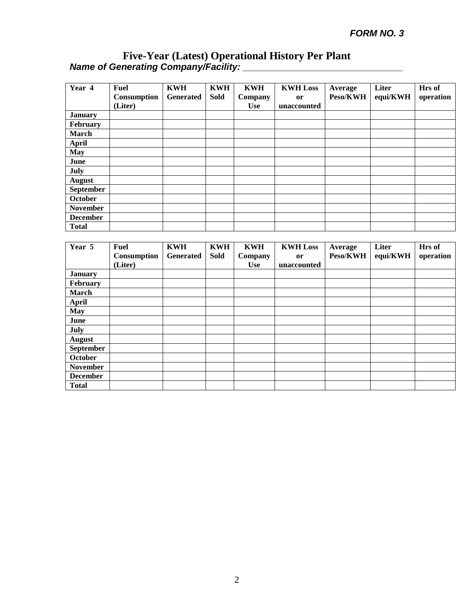| Year 4           | <b>Fuel</b><br>Consumption<br>(Liter) | <b>KWH</b><br>Generated | <b>KWH</b><br><b>Sold</b> | <b>KWH</b><br>Company<br><b>Use</b> | <b>KWH Loss</b><br><sub>or</sub><br>unaccounted | Average<br>Peso/KWH | Liter<br>equi/KWH | Hrs of<br>operation |
|------------------|---------------------------------------|-------------------------|---------------------------|-------------------------------------|-------------------------------------------------|---------------------|-------------------|---------------------|
| <b>January</b>   |                                       |                         |                           |                                     |                                                 |                     |                   |                     |
| February         |                                       |                         |                           |                                     |                                                 |                     |                   |                     |
| <b>March</b>     |                                       |                         |                           |                                     |                                                 |                     |                   |                     |
| <b>April</b>     |                                       |                         |                           |                                     |                                                 |                     |                   |                     |
| <b>May</b>       |                                       |                         |                           |                                     |                                                 |                     |                   |                     |
| June             |                                       |                         |                           |                                     |                                                 |                     |                   |                     |
| July             |                                       |                         |                           |                                     |                                                 |                     |                   |                     |
| <b>August</b>    |                                       |                         |                           |                                     |                                                 |                     |                   |                     |
| <b>September</b> |                                       |                         |                           |                                     |                                                 |                     |                   |                     |
| October          |                                       |                         |                           |                                     |                                                 |                     |                   |                     |
| <b>November</b>  |                                       |                         |                           |                                     |                                                 |                     |                   |                     |
| <b>December</b>  |                                       |                         |                           |                                     |                                                 |                     |                   |                     |
| <b>Total</b>     |                                       |                         |                           |                                     |                                                 |                     |                   |                     |

| Year 5          | Fuel        | <b>KWH</b> | <b>KWH</b>  | <b>KWH</b> | <b>KWH Loss</b> | Average  | Liter    | Hrs of    |
|-----------------|-------------|------------|-------------|------------|-----------------|----------|----------|-----------|
|                 | Consumption | Generated  | <b>Sold</b> | Company    | <sub>or</sub>   | Peso/KWH | equi/KWH | operation |
|                 | (Liter)     |            |             | <b>Use</b> | unaccounted     |          |          |           |
| <b>January</b>  |             |            |             |            |                 |          |          |           |
| February        |             |            |             |            |                 |          |          |           |
| March           |             |            |             |            |                 |          |          |           |
| <b>April</b>    |             |            |             |            |                 |          |          |           |
| <b>May</b>      |             |            |             |            |                 |          |          |           |
| June            |             |            |             |            |                 |          |          |           |
| July            |             |            |             |            |                 |          |          |           |
| August          |             |            |             |            |                 |          |          |           |
| September       |             |            |             |            |                 |          |          |           |
| October         |             |            |             |            |                 |          |          |           |
| <b>November</b> |             |            |             |            |                 |          |          |           |
| <b>December</b> |             |            |             |            |                 |          |          |           |
| <b>Total</b>    |             |            |             |            |                 |          |          |           |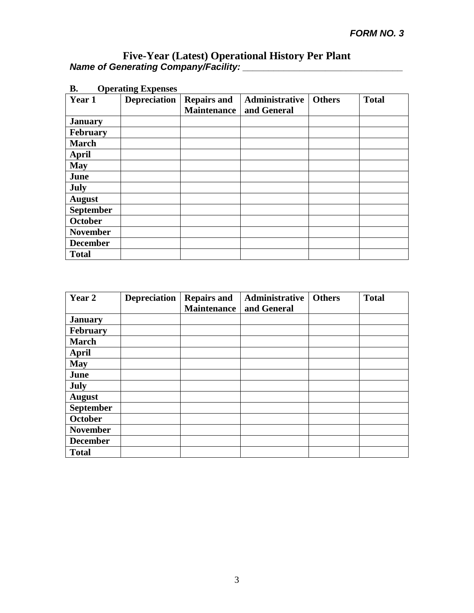| в.<br><b>Operating Expenses</b> |                     |                                          |                               |               |              |  |  |  |  |  |
|---------------------------------|---------------------|------------------------------------------|-------------------------------|---------------|--------------|--|--|--|--|--|
| Year 1                          | <b>Depreciation</b> | <b>Repairs and</b><br><b>Maintenance</b> | Administrative<br>and General | <b>Others</b> | <b>Total</b> |  |  |  |  |  |
| <b>January</b>                  |                     |                                          |                               |               |              |  |  |  |  |  |
| <b>February</b>                 |                     |                                          |                               |               |              |  |  |  |  |  |
| <b>March</b>                    |                     |                                          |                               |               |              |  |  |  |  |  |
| <b>April</b>                    |                     |                                          |                               |               |              |  |  |  |  |  |
| <b>May</b>                      |                     |                                          |                               |               |              |  |  |  |  |  |
| June                            |                     |                                          |                               |               |              |  |  |  |  |  |
| July                            |                     |                                          |                               |               |              |  |  |  |  |  |
| <b>August</b>                   |                     |                                          |                               |               |              |  |  |  |  |  |
| <b>September</b>                |                     |                                          |                               |               |              |  |  |  |  |  |
| <b>October</b>                  |                     |                                          |                               |               |              |  |  |  |  |  |
| <b>November</b>                 |                     |                                          |                               |               |              |  |  |  |  |  |
| <b>December</b>                 |                     |                                          |                               |               |              |  |  |  |  |  |
| <b>Total</b>                    |                     |                                          |                               |               |              |  |  |  |  |  |

| Year 2           | <b>Depreciation</b> | <b>Repairs and</b><br><b>Maintenance</b> | Administrative<br>and General | <b>Others</b> | <b>Total</b> |
|------------------|---------------------|------------------------------------------|-------------------------------|---------------|--------------|
| <b>January</b>   |                     |                                          |                               |               |              |
| <b>February</b>  |                     |                                          |                               |               |              |
| <b>March</b>     |                     |                                          |                               |               |              |
| <b>April</b>     |                     |                                          |                               |               |              |
| <b>May</b>       |                     |                                          |                               |               |              |
| June             |                     |                                          |                               |               |              |
| July             |                     |                                          |                               |               |              |
| <b>August</b>    |                     |                                          |                               |               |              |
| <b>September</b> |                     |                                          |                               |               |              |
| October          |                     |                                          |                               |               |              |
| <b>November</b>  |                     |                                          |                               |               |              |
| <b>December</b>  |                     |                                          |                               |               |              |
| <b>Total</b>     |                     |                                          |                               |               |              |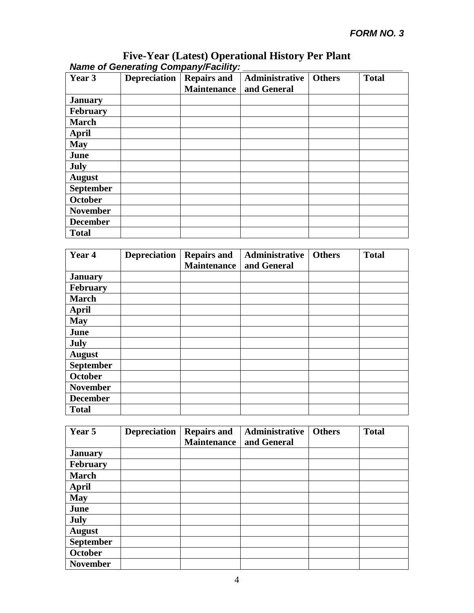| Year 3           | Depreciation | <b>Repairs and</b><br><b>Maintenance</b> | Administrative<br>and General | <b>Others</b> | <b>Total</b> |
|------------------|--------------|------------------------------------------|-------------------------------|---------------|--------------|
| <b>January</b>   |              |                                          |                               |               |              |
| February         |              |                                          |                               |               |              |
| <b>March</b>     |              |                                          |                               |               |              |
| <b>April</b>     |              |                                          |                               |               |              |
| <b>May</b>       |              |                                          |                               |               |              |
| June             |              |                                          |                               |               |              |
| July             |              |                                          |                               |               |              |
| <b>August</b>    |              |                                          |                               |               |              |
| <b>September</b> |              |                                          |                               |               |              |
| October          |              |                                          |                               |               |              |
| <b>November</b>  |              |                                          |                               |               |              |
| <b>December</b>  |              |                                          |                               |               |              |
| <b>Total</b>     |              |                                          |                               |               |              |

|                                             | <b>Five-Year (Latest) Operational History Per Plant</b> |  |
|---------------------------------------------|---------------------------------------------------------|--|
| <b>Name of Generating Company/Facility:</b> |                                                         |  |

| Year 4           | <b>Depreciation</b> | <b>Repairs and</b><br><b>Maintenance</b> | Administrative<br>and General | <b>Others</b> | <b>Total</b> |
|------------------|---------------------|------------------------------------------|-------------------------------|---------------|--------------|
| <b>January</b>   |                     |                                          |                               |               |              |
| <b>February</b>  |                     |                                          |                               |               |              |
| <b>March</b>     |                     |                                          |                               |               |              |
| April            |                     |                                          |                               |               |              |
| <b>May</b>       |                     |                                          |                               |               |              |
| June             |                     |                                          |                               |               |              |
| July             |                     |                                          |                               |               |              |
| <b>August</b>    |                     |                                          |                               |               |              |
| <b>September</b> |                     |                                          |                               |               |              |
| <b>October</b>   |                     |                                          |                               |               |              |
| <b>November</b>  |                     |                                          |                               |               |              |
| <b>December</b>  |                     |                                          |                               |               |              |
| <b>Total</b>     |                     |                                          |                               |               |              |

| Year 5           | <b>Depreciation</b> | <b>Repairs and</b><br><b>Maintenance</b> | Administrative<br>and General | <b>Others</b> | <b>Total</b> |
|------------------|---------------------|------------------------------------------|-------------------------------|---------------|--------------|
|                  |                     |                                          |                               |               |              |
| <b>January</b>   |                     |                                          |                               |               |              |
| <b>February</b>  |                     |                                          |                               |               |              |
| <b>March</b>     |                     |                                          |                               |               |              |
| April            |                     |                                          |                               |               |              |
| <b>May</b>       |                     |                                          |                               |               |              |
| June             |                     |                                          |                               |               |              |
| July             |                     |                                          |                               |               |              |
| <b>August</b>    |                     |                                          |                               |               |              |
| <b>September</b> |                     |                                          |                               |               |              |
| <b>October</b>   |                     |                                          |                               |               |              |
| <b>November</b>  |                     |                                          |                               |               |              |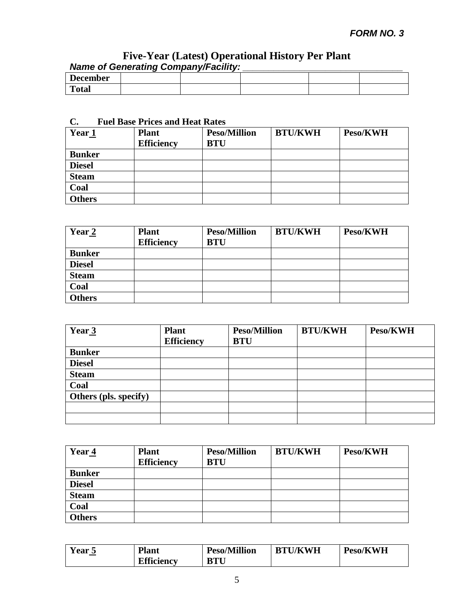|                 | $\cdots$ |  |  |
|-----------------|----------|--|--|
| <b>December</b> |          |  |  |
| <b>Total</b>    |          |  |  |

# **C. Fuel Base Prices and Heat Rates**

| Year 1        | <b>Plant</b><br><b>Efficiency</b> | <b>Peso/Million</b><br><b>BTU</b> | <b>BTU/KWH</b> | Peso/KWH |
|---------------|-----------------------------------|-----------------------------------|----------------|----------|
| <b>Bunker</b> |                                   |                                   |                |          |
| <b>Diesel</b> |                                   |                                   |                |          |
| <b>Steam</b>  |                                   |                                   |                |          |
| Coal          |                                   |                                   |                |          |
| <b>Others</b> |                                   |                                   |                |          |

| Year 2        | <b>Plant</b><br><b>Efficiency</b> | <b>Peso/Million</b><br><b>BTU</b> | <b>BTU/KWH</b> | Peso/KWH |
|---------------|-----------------------------------|-----------------------------------|----------------|----------|
| <b>Bunker</b> |                                   |                                   |                |          |
| <b>Diesel</b> |                                   |                                   |                |          |
| <b>Steam</b>  |                                   |                                   |                |          |
| Coal          |                                   |                                   |                |          |
| <b>Others</b> |                                   |                                   |                |          |

| Year <sub>3</sub>     | <b>Plant</b><br><b>Efficiency</b> | <b>Peso/Million</b><br><b>BTU</b> | <b>BTU/KWH</b> | Peso/KWH |
|-----------------------|-----------------------------------|-----------------------------------|----------------|----------|
| <b>Bunker</b>         |                                   |                                   |                |          |
| <b>Diesel</b>         |                                   |                                   |                |          |
| <b>Steam</b>          |                                   |                                   |                |          |
| Coal                  |                                   |                                   |                |          |
| Others (pls. specify) |                                   |                                   |                |          |
|                       |                                   |                                   |                |          |
|                       |                                   |                                   |                |          |

| Year <sub>4</sub> | <b>Plant</b><br><b>Efficiency</b> | <b>Peso/Million</b><br><b>BTU</b> | <b>BTU/KWH</b> | Peso/KWH |
|-------------------|-----------------------------------|-----------------------------------|----------------|----------|
| <b>Bunker</b>     |                                   |                                   |                |          |
| <b>Diesel</b>     |                                   |                                   |                |          |
| <b>Steam</b>      |                                   |                                   |                |          |
| Coal              |                                   |                                   |                |          |
| <b>Others</b>     |                                   |                                   |                |          |

| Year 5 | <b>Plant</b>      | <b>Peso/Million</b> | <b>BTU/KWH</b> | Peso/KWH |
|--------|-------------------|---------------------|----------------|----------|
|        | <b>Efficiency</b> | <b>BTU</b>          |                |          |